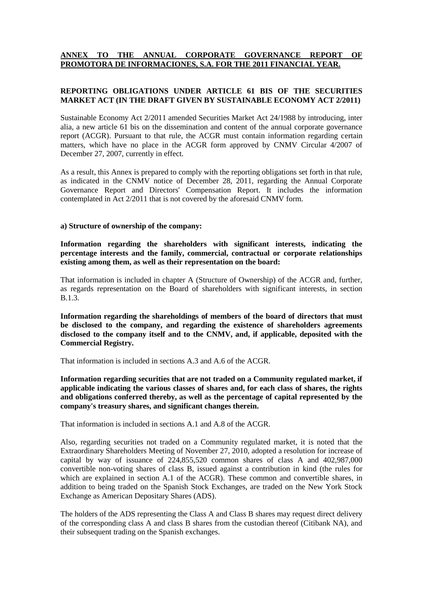# **ANNEX TO THE ANNUAL CORPORATE GOVERNANCE REPORT OF PROMOTORA DE INFORMACIONES, S.A. FOR THE 2011 FINANCIAL YEAR.**

# **REPORTING OBLIGATIONS UNDER ARTICLE 61 BIS OF THE SECURITIES MARKET ACT (IN THE DRAFT GIVEN BY SUSTAINABLE ECONOMY ACT 2/2011)**

Sustainable Economy Act 2/2011 amended Securities Market Act 24/1988 by introducing, inter alia, a new article 61 bis on the dissemination and content of the annual corporate governance report (ACGR). Pursuant to that rule, the ACGR must contain information regarding certain matters, which have no place in the ACGR form approved by CNMV Circular 4/2007 of December 27, 2007, currently in effect.

As a result, this Annex is prepared to comply with the reporting obligations set forth in that rule, as indicated in the CNMV notice of December 28, 2011, regarding the Annual Corporate Governance Report and Directors' Compensation Report. It includes the information contemplated in Act 2/2011 that is not covered by the aforesaid CNMV form.

#### **a) Structure of ownership of the company:**

**Information regarding the shareholders with significant interests, indicating the percentage interests and the family, commercial, contractual or corporate relationships existing among them, as well as their representation on the board:**

That information is included in chapter A (Structure of Ownership) of the ACGR and, further, as regards representation on the Board of shareholders with significant interests, in section B.1.3.

**Information regarding the shareholdings of members of the board of directors that must be disclosed to the company, and regarding the existence of shareholders agreements disclosed to the company itself and to the CNMV, and, if applicable, deposited with the Commercial Registry.**

That information is included in sections A.3 and A.6 of the ACGR.

**Information regarding securities that are not traded on a Community regulated market, if applicable indicating the various classes of shares and, for each class of shares, the rights and obligations conferred thereby, as well as the percentage of capital represented by the company's treasury shares, and significant changes therein.** 

That information is included in sections A.1 and A.8 of the ACGR.

Also, regarding securities not traded on a Community regulated market, it is noted that the Extraordinary Shareholders Meeting of November 27, 2010, adopted a resolution for increase of capital by way of issuance of 224,855,520 common shares of class A and 402,987,000 convertible non-voting shares of class B, issued against a contribution in kind (the rules for which are explained in section A.1 of the ACGR). These common and convertible shares, in addition to being traded on the Spanish Stock Exchanges, are traded on the New York Stock Exchange as American Depositary Shares (ADS).

The holders of the ADS representing the Class A and Class B shares may request direct delivery of the corresponding class A and class B shares from the custodian thereof (Citibank NA), and their subsequent trading on the Spanish exchanges.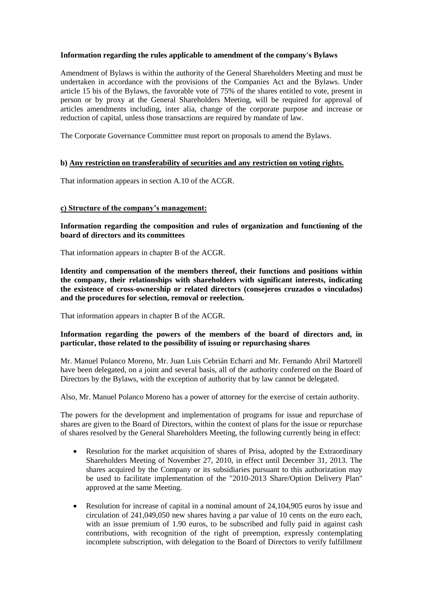# **Information regarding the rules applicable to amendment of the company's Bylaws**

Amendment of Bylaws is within the authority of the General Shareholders Meeting and must be undertaken in accordance with the provisions of the Companies Act and the Bylaws. Under article 15 bis of the Bylaws, the favorable vote of 75% of the shares entitled to vote, present in person or by proxy at the General Shareholders Meeting, will be required for approval of articles amendments including, inter alia, change of the corporate purpose and increase or reduction of capital, unless those transactions are required by mandate of law.

The Corporate Governance Committee must report on proposals to amend the Bylaws.

# **b) Any restriction on transferability of securities and any restriction on voting rights.**

That information appears in section A.10 of the ACGR.

### **c) Structure of the company's management:**

**Information regarding the composition and rules of organization and functioning of the board of directors and its committees**

That information appears in chapter B of the ACGR.

**Identity and compensation of the members thereof, their functions and positions within the company, their relationships with shareholders with significant interests, indicating the existence of cross-ownership or related directors (consejeros cruzados o vinculados) and the procedures for selection, removal or reelection.**

That information appears in chapter B of the ACGR.

# **Information regarding the powers of the members of the board of directors and, in particular, those related to the possibility of issuing or repurchasing shares**

Mr. Manuel Polanco Moreno, Mr. Juan Luis Cebrián Echarri and Mr. Fernando Abril Martorell have been delegated, on a joint and several basis, all of the authority conferred on the Board of Directors by the Bylaws, with the exception of authority that by law cannot be delegated.

Also, Mr. Manuel Polanco Moreno has a power of attorney for the exercise of certain authority.

The powers for the development and implementation of programs for issue and repurchase of shares are given to the Board of Directors, within the context of plans for the issue or repurchase of shares resolved by the General Shareholders Meeting, the following currently being in effect:

- Resolution for the market acquisition of shares of Prisa, adopted by the Extraordinary Shareholders Meeting of November 27, 2010, in effect until December 31, 2013. The shares acquired by the Company or its subsidiaries pursuant to this authorization may be used to facilitate implementation of the "2010-2013 Share/Option Delivery Plan" approved at the same Meeting.
- Resolution for increase of capital in a nominal amount of 24,104,905 euros by issue and circulation of 241,049,050 new shares having a par value of 10 cents on the euro each, with an issue premium of 1.90 euros, to be subscribed and fully paid in against cash contributions, with recognition of the right of preemption, expressly contemplating incomplete subscription, with delegation to the Board of Directors to verify fulfillment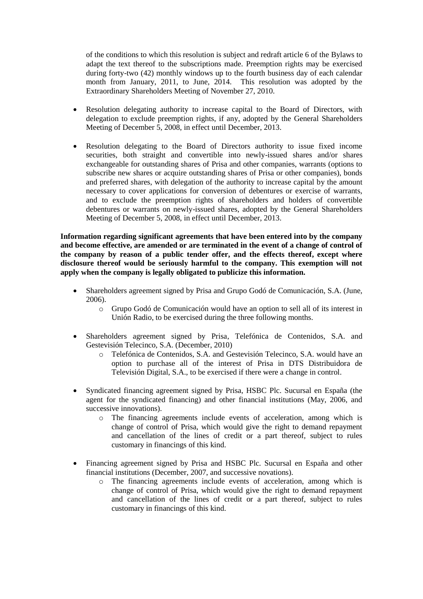of the conditions to which this resolution is subject and redraft article 6 of the Bylaws to adapt the text thereof to the subscriptions made. Preemption rights may be exercised during forty-two (42) monthly windows up to the fourth business day of each calendar month from January, 2011, to June, 2014. This resolution was adopted by the Extraordinary Shareholders Meeting of November 27, 2010.

- Resolution delegating authority to increase capital to the Board of Directors, with delegation to exclude preemption rights, if any, adopted by the General Shareholders Meeting of December 5, 2008, in effect until December, 2013.
- Resolution delegating to the Board of Directors authority to issue fixed income securities, both straight and convertible into newly-issued shares and/or shares exchangeable for outstanding shares of Prisa and other companies, warrants (options to subscribe new shares or acquire outstanding shares of Prisa or other companies), bonds and preferred shares, with delegation of the authority to increase capital by the amount necessary to cover applications for conversion of debentures or exercise of warrants, and to exclude the preemption rights of shareholders and holders of convertible debentures or warrants on newly-issued shares, adopted by the General Shareholders Meeting of December 5, 2008, in effect until December, 2013.

**Information regarding significant agreements that have been entered into by the company and become effective, are amended or are terminated in the event of a change of control of the company by reason of a public tender offer, and the effects thereof, except where disclosure thereof would be seriously harmful to the company. This exemption will not apply when the company is legally obligated to publicize this information.**

- Shareholders agreement signed by Prisa and Grupo Godó de Comunicación, S.A. (June, 2006).
	- o Grupo Godó de Comunicación would have an option to sell all of its interest in Unión Radio, to be exercised during the three following months.
- Shareholders agreement signed by Prisa, Telefónica de Contenidos, S.A. and Gestevisión Telecinco, S.A. (December, 2010)
	- o Telefónica de Contenidos, S.A. and Gestevisión Telecinco, S.A. would have an option to purchase all of the interest of Prisa in DTS Distribuidora de Televisión Digital, S.A., to be exercised if there were a change in control.
- Syndicated financing agreement signed by Prisa, HSBC Plc. Sucursal en España (the agent for the syndicated financing) and other financial institutions (May, 2006, and successive innovations).
	- o The financing agreements include events of acceleration, among which is change of control of Prisa, which would give the right to demand repayment and cancellation of the lines of credit or a part thereof, subject to rules customary in financings of this kind.
- Financing agreement signed by Prisa and HSBC Plc. Sucursal en España and other financial institutions (December, 2007, and successive novations).
	- o The financing agreements include events of acceleration, among which is change of control of Prisa, which would give the right to demand repayment and cancellation of the lines of credit or a part thereof, subject to rules customary in financings of this kind.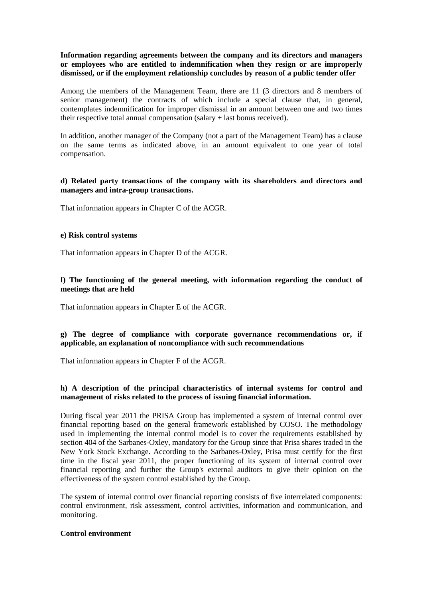# **Information regarding agreements between the company and its directors and managers or employees who are entitled to indemnification when they resign or are improperly dismissed, or if the employment relationship concludes by reason of a public tender offer**

Among the members of the Management Team, there are 11 (3 directors and 8 members of senior management) the contracts of which include a special clause that, in general, contemplates indemnification for improper dismissal in an amount between one and two times their respective total annual compensation (salary + last bonus received).

In addition, another manager of the Company (not a part of the Management Team) has a clause on the same terms as indicated above, in an amount equivalent to one year of total compensation.

# **d) Related party transactions of the company with its shareholders and directors and managers and intra-group transactions.**

That information appears in Chapter C of the ACGR.

### **e) Risk control systems**

That information appears in Chapter D of the ACGR.

# **f) The functioning of the general meeting, with information regarding the conduct of meetings that are held**

That information appears in Chapter E of the ACGR.

### **g) The degree of compliance with corporate governance recommendations or, if applicable, an explanation of noncompliance with such recommendations**

That information appears in Chapter F of the ACGR.

### **h) A description of the principal characteristics of internal systems for control and management of risks related to the process of issuing financial information.**

During fiscal year 2011 the PRISA Group has implemented a system of internal control over financial reporting based on the general framework established by COSO. The methodology used in implementing the internal control model is to cover the requirements established by section 404 of the Sarbanes-Oxley, mandatory for the Group since that Prisa shares traded in the New York Stock Exchange. According to the Sarbanes-Oxley, Prisa must certify for the first time in the fiscal year 2011, the proper functioning of its system of internal control over financial reporting and further the Group's external auditors to give their opinion on the effectiveness of the system control established by the Group.

The system of internal control over financial reporting consists of five interrelated components: control environment, risk assessment, control activities, information and communication, and monitoring.

#### **Control environment**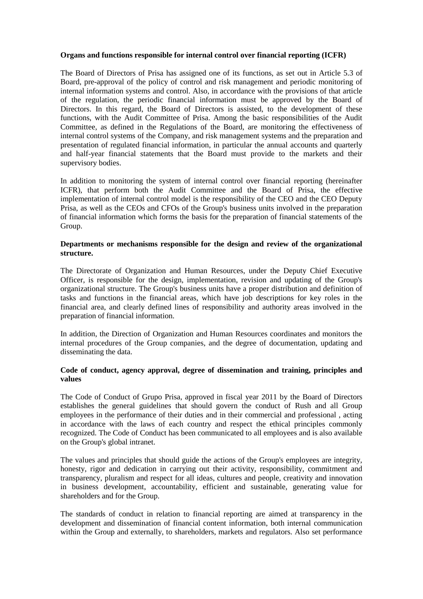#### **Organs and functions responsible for internal control over financial reporting (ICFR)**

The Board of Directors of Prisa has assigned one of its functions, as set out in Article 5.3 of Board, pre-approval of the policy of control and risk management and periodic monitoring of internal information systems and control. Also, in accordance with the provisions of that article of the regulation, the periodic financial information must be approved by the Board of Directors. In this regard, the Board of Directors is assisted, to the development of these functions, with the Audit Committee of Prisa. Among the basic responsibilities of the Audit Committee, as defined in the Regulations of the Board, are monitoring the effectiveness of internal control systems of the Company, and risk management systems and the preparation and presentation of regulated financial information, in particular the annual accounts and quarterly and half-year financial statements that the Board must provide to the markets and their supervisory bodies.

In addition to monitoring the system of internal control over financial reporting (hereinafter ICFR), that perform both the Audit Committee and the Board of Prisa, the effective implementation of internal control model is the responsibility of the CEO and the CEO Deputy Prisa, as well as the CEOs and CFOs of the Group's business units involved in the preparation of financial information which forms the basis for the preparation of financial statements of the Group.

#### **Departments or mechanisms responsible for the design and review of the organizational structure.**

The Directorate of Organization and Human Resources, under the Deputy Chief Executive Officer, is responsible for the design, implementation, revision and updating of the Group's organizational structure. The Group's business units have a proper distribution and definition of tasks and functions in the financial areas, which have job descriptions for key roles in the financial area, and clearly defined lines of responsibility and authority areas involved in the preparation of financial information.

In addition, the Direction of Organization and Human Resources coordinates and monitors the internal procedures of the Group companies, and the degree of documentation, updating and disseminating the data.

### **Code of conduct, agency approval, degree of dissemination and training, principles and values**

The Code of Conduct of Grupo Prisa, approved in fiscal year 2011 by the Board of Directors establishes the general guidelines that should govern the conduct of Rush and all Group employees in the performance of their duties and in their commercial and professional , acting in accordance with the laws of each country and respect the ethical principles commonly recognized. The Code of Conduct has been communicated to all employees and is also available on the Group's global intranet.

The values and principles that should guide the actions of the Group's employees are integrity, honesty, rigor and dedication in carrying out their activity, responsibility, commitment and transparency, pluralism and respect for all ideas, cultures and people, creativity and innovation in business development, accountability, efficient and sustainable, generating value for shareholders and for the Group.

The standards of conduct in relation to financial reporting are aimed at transparency in the development and dissemination of financial content information, both internal communication within the Group and externally, to shareholders, markets and regulators. Also set performance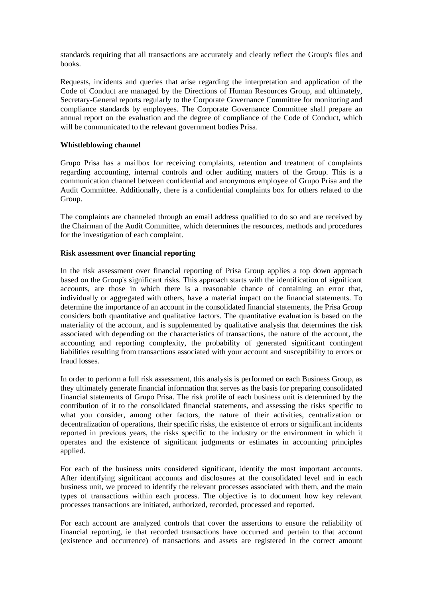standards requiring that all transactions are accurately and clearly reflect the Group's files and books.

Requests, incidents and queries that arise regarding the interpretation and application of the Code of Conduct are managed by the Directions of Human Resources Group, and ultimately, Secretary-General reports regularly to the Corporate Governance Committee for monitoring and compliance standards by employees. The Corporate Governance Committee shall prepare an annual report on the evaluation and the degree of compliance of the Code of Conduct, which will be communicated to the relevant government bodies Prisa.

# **Whistleblowing channel**

Grupo Prisa has a mailbox for receiving complaints, retention and treatment of complaints regarding accounting, internal controls and other auditing matters of the Group. This is a communication channel between confidential and anonymous employee of Grupo Prisa and the Audit Committee. Additionally, there is a confidential complaints box for others related to the Group.

The complaints are channeled through an email address qualified to do so and are received by the Chairman of the Audit Committee, which determines the resources, methods and procedures for the investigation of each complaint.

# **Risk assessment over financial reporting**

In the risk assessment over financial reporting of Prisa Group applies a top down approach based on the Group's significant risks. This approach starts with the identification of significant accounts, are those in which there is a reasonable chance of containing an error that, individually or aggregated with others, have a material impact on the financial statements. To determine the importance of an account in the consolidated financial statements, the Prisa Group considers both quantitative and qualitative factors. The quantitative evaluation is based on the materiality of the account, and is supplemented by qualitative analysis that determines the risk associated with depending on the characteristics of transactions, the nature of the account, the accounting and reporting complexity, the probability of generated significant contingent liabilities resulting from transactions associated with your account and susceptibility to errors or fraud losses.

In order to perform a full risk assessment, this analysis is performed on each Business Group, as they ultimately generate financial information that serves as the basis for preparing consolidated financial statements of Grupo Prisa. The risk profile of each business unit is determined by the contribution of it to the consolidated financial statements, and assessing the risks specific to what you consider, among other factors, the nature of their activities, centralization or decentralization of operations, their specific risks, the existence of errors or significant incidents reported in previous years, the risks specific to the industry or the environment in which it operates and the existence of significant judgments or estimates in accounting principles applied.

For each of the business units considered significant, identify the most important accounts. After identifying significant accounts and disclosures at the consolidated level and in each business unit, we proceed to identify the relevant processes associated with them, and the main types of transactions within each process. The objective is to document how key relevant processes transactions are initiated, authorized, recorded, processed and reported.

For each account are analyzed controls that cover the assertions to ensure the reliability of financial reporting, ie that recorded transactions have occurred and pertain to that account (existence and occurrence) of transactions and assets are registered in the correct amount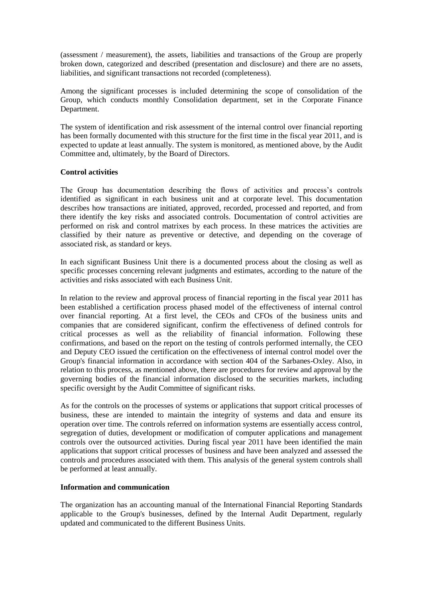(assessment / measurement), the assets, liabilities and transactions of the Group are properly broken down, categorized and described (presentation and disclosure) and there are no assets, liabilities, and significant transactions not recorded (completeness).

Among the significant processes is included determining the scope of consolidation of the Group, which conducts monthly Consolidation department, set in the Corporate Finance Department.

The system of identification and risk assessment of the internal control over financial reporting has been formally documented with this structure for the first time in the fiscal year 2011, and is expected to update at least annually. The system is monitored, as mentioned above, by the Audit Committee and, ultimately, by the Board of Directors.

# **Control activities**

The Group has documentation describing the flows of activities and process's controls identified as significant in each business unit and at corporate level. This documentation describes how transactions are initiated, approved, recorded, processed and reported, and from there identify the key risks and associated controls. Documentation of control activities are performed on risk and control matrixes by each process. In these matrices the activities are classified by their nature as preventive or detective, and depending on the coverage of associated risk, as standard or keys.

In each significant Business Unit there is a documented process about the closing as well as specific processes concerning relevant judgments and estimates, according to the nature of the activities and risks associated with each Business Unit.

In relation to the review and approval process of financial reporting in the fiscal year 2011 has been established a certification process phased model of the effectiveness of internal control over financial reporting. At a first level, the CEOs and CFOs of the business units and companies that are considered significant, confirm the effectiveness of defined controls for critical processes as well as the reliability of financial information. Following these confirmations, and based on the report on the testing of controls performed internally, the CEO and Deputy CEO issued the certification on the effectiveness of internal control model over the Group's financial information in accordance with section 404 of the Sarbanes-Oxley. Also, in relation to this process, as mentioned above, there are procedures for review and approval by the governing bodies of the financial information disclosed to the securities markets, including specific oversight by the Audit Committee of significant risks.

As for the controls on the processes of systems or applications that support critical processes of business, these are intended to maintain the integrity of systems and data and ensure its operation over time. The controls referred on information systems are essentially access control, segregation of duties, development or modification of computer applications and management controls over the outsourced activities. During fiscal year 2011 have been identified the main applications that support critical processes of business and have been analyzed and assessed the controls and procedures associated with them. This analysis of the general system controls shall be performed at least annually.

# **Information and communication**

The organization has an accounting manual of the International Financial Reporting Standards applicable to the Group's businesses, defined by the Internal Audit Department, regularly updated and communicated to the different Business Units.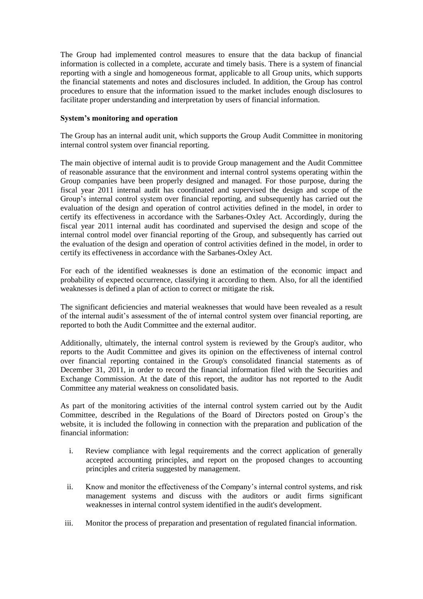The Group had implemented control measures to ensure that the data backup of financial information is collected in a complete, accurate and timely basis. There is a system of financial reporting with a single and homogeneous format, applicable to all Group units, which supports the financial statements and notes and disclosures included. In addition, the Group has control procedures to ensure that the information issued to the market includes enough disclosures to facilitate proper understanding and interpretation by users of financial information.

# **System's monitoring and operation**

The Group has an internal audit unit, which supports the Group Audit Committee in monitoring internal control system over financial reporting.

The main objective of internal audit is to provide Group management and the Audit Committee of reasonable assurance that the environment and internal control systems operating within the Group companies have been properly designed and managed. For those purpose, during the fiscal year 2011 internal audit has coordinated and supervised the design and scope of the Group's internal control system over financial reporting, and subsequently has carried out the evaluation of the design and operation of control activities defined in the model, in order to certify its effectiveness in accordance with the Sarbanes-Oxley Act. Accordingly, during the fiscal year 2011 internal audit has coordinated and supervised the design and scope of the internal control model over financial reporting of the Group, and subsequently has carried out the evaluation of the design and operation of control activities defined in the model, in order to certify its effectiveness in accordance with the Sarbanes-Oxley Act.

For each of the identified weaknesses is done an estimation of the economic impact and probability of expected occurrence, classifying it according to them. Also, for all the identified weaknesses is defined a plan of action to correct or mitigate the risk.

The significant deficiencies and material weaknesses that would have been revealed as a result of the internal audit's assessment of the of internal control system over financial reporting, are reported to both the Audit Committee and the external auditor.

Additionally, ultimately, the internal control system is reviewed by the Group's auditor, who reports to the Audit Committee and gives its opinion on the effectiveness of internal control over financial reporting contained in the Group's consolidated financial statements as of December 31, 2011, in order to record the financial information filed with the Securities and Exchange Commission. At the date of this report, the auditor has not reported to the Audit Committee any material weakness on consolidated basis.

As part of the monitoring activities of the internal control system carried out by the Audit Committee, described in the Regulations of the Board of Directors posted on Group's the website, it is included the following in connection with the preparation and publication of the financial information:

- i. Review compliance with legal requirements and the correct application of generally accepted accounting principles, and report on the proposed changes to accounting principles and criteria suggested by management.
- ii. Know and monitor the effectiveness of the Company's internal control systems, and risk management systems and discuss with the auditors or audit firms significant weaknesses in internal control system identified in the audit's development.
- iii. Monitor the process of preparation and presentation of regulated financial information.